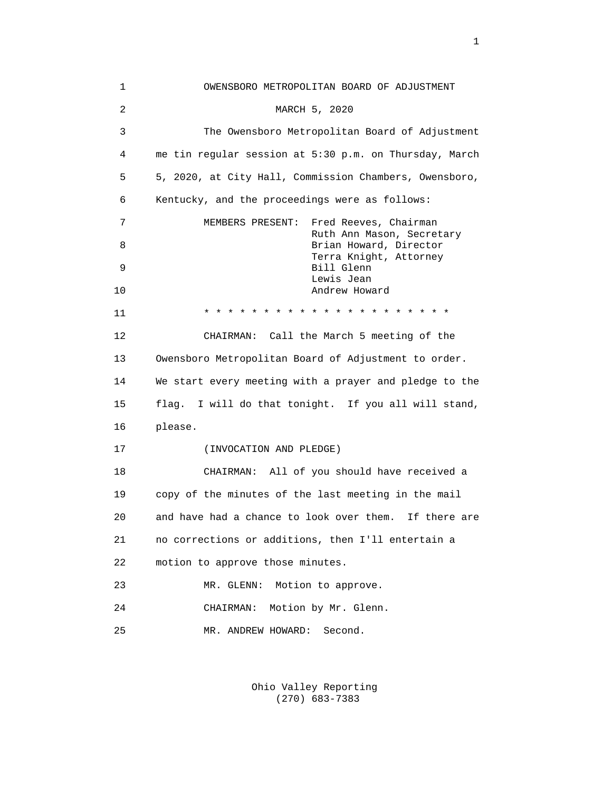1 OWENSBORO METROPOLITAN BOARD OF ADJUSTMENT 2 MARCH 5, 2020 3 The Owensboro Metropolitan Board of Adjustment 4 me tin regular session at 5:30 p.m. on Thursday, March 5 5, 2020, at City Hall, Commission Chambers, Owensboro, 6 Kentucky, and the proceedings were as follows: 7 MEMBERS PRESENT: Fred Reeves, Chairman Ruth Ann Mason, Secretary<br>Brian Howard, Director 8 Brian Howard, Director Terra Knight, Attorney<br>Bill Glenn<br>Bill Glenn 9 Bill Glenn Lewis Jean نقله المستخدمة المستخدمة المستخدمة المستخدمة المستخدمة المستخدمة المستخدمة المستخدمة المستخدمة المس<br>تحمل المستخدمة المستخدمة المستخدمة المستخدمة المستخدمة المستخدمة المستخدمة المستخدمة المستخدمة المستخدمة المست Andrew Howard 11 \* \* \* \* \* \* \* \* \* \* \* \* \* \* \* \* \* \* \* \* \* 12 CHAIRMAN: Call the March 5 meeting of the 13 Owensboro Metropolitan Board of Adjustment to order. 14 We start every meeting with a prayer and pledge to the 15 flag. I will do that tonight. If you all will stand, 16 please. 17 (INVOCATION AND PLEDGE) 18 CHAIRMAN: All of you should have received a 19 copy of the minutes of the last meeting in the mail 20 and have had a chance to look over them. If there are 21 no corrections or additions, then I'll entertain a 22 motion to approve those minutes. 23 MR. GLENN: Motion to approve. 24 CHAIRMAN: Motion by Mr. Glenn. 25 MR. ANDREW HOWARD: Second.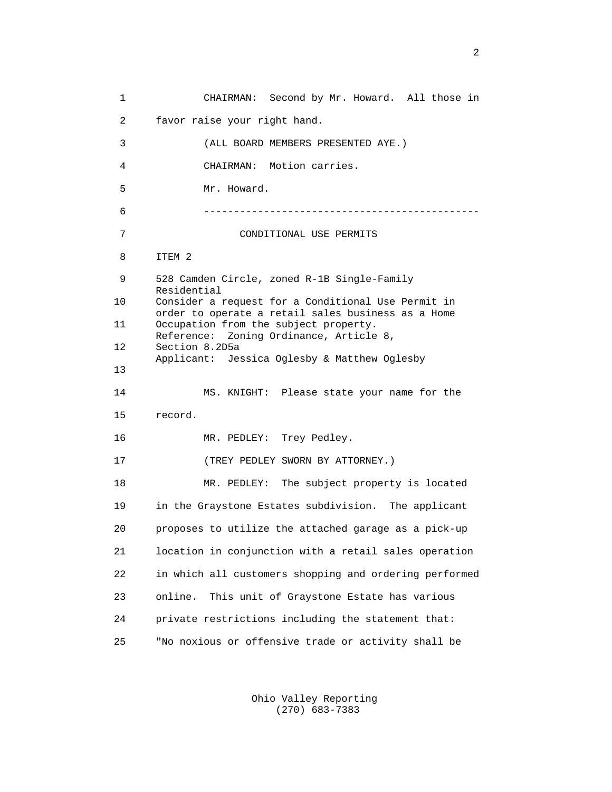1 CHAIRMAN: Second by Mr. Howard. All those in 2 favor raise your right hand. 3 (ALL BOARD MEMBERS PRESENTED AYE.) 4 CHAIRMAN: Motion carries. 5 Mr. Howard. 6 ---------------------------------------------- 7 CONDITIONAL USE PERMITS 8 ITEM 2 9 528 Camden Circle, zoned R-1B Single-Family Residential<br>10 Consider a : Consider a request for a Conditional Use Permit in order to operate a retail sales business as a Home<br>11 Occupation from the subject property. Occupation from the subject property. Reference: Zoning Ordinance, Article 8,<br>12 Section 8.2D5a Section 8.2D5a Applicant: Jessica Oglesby & Matthew Oglesby 13 14 MS. KNIGHT: Please state your name for the 15 record. 16 MR. PEDLEY: Trey Pedley. 17 (TREY PEDLEY SWORN BY ATTORNEY.) 18 MR. PEDLEY: The subject property is located 19 in the Graystone Estates subdivision. The applicant 20 proposes to utilize the attached garage as a pick-up 21 location in conjunction with a retail sales operation 22 in which all customers shopping and ordering performed 23 online. This unit of Graystone Estate has various 24 private restrictions including the statement that: 25 "No noxious or offensive trade or activity shall be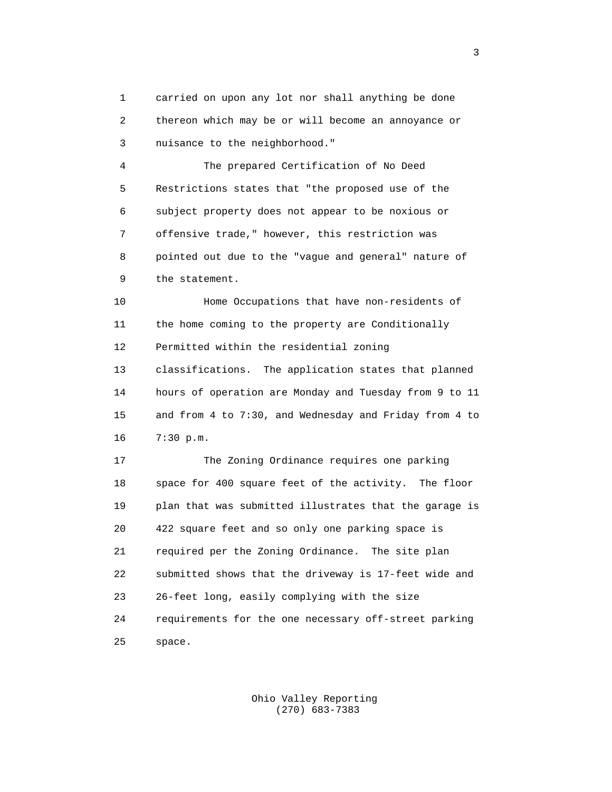1 carried on upon any lot nor shall anything be done 2 thereon which may be or will become an annoyance or 3 nuisance to the neighborhood."

 4 The prepared Certification of No Deed 5 Restrictions states that "the proposed use of the 6 subject property does not appear to be noxious or 7 offensive trade," however, this restriction was 8 pointed out due to the "vague and general" nature of 9 the statement.

 10 Home Occupations that have non-residents of 11 the home coming to the property are Conditionally 12 Permitted within the residential zoning 13 classifications. The application states that planned 14 hours of operation are Monday and Tuesday from 9 to 11 15 and from 4 to 7:30, and Wednesday and Friday from 4 to 16 7:30 p.m.

 17 The Zoning Ordinance requires one parking 18 space for 400 square feet of the activity. The floor 19 plan that was submitted illustrates that the garage is 20 422 square feet and so only one parking space is 21 required per the Zoning Ordinance. The site plan 22 submitted shows that the driveway is 17-feet wide and 23 26-feet long, easily complying with the size 24 requirements for the one necessary off-street parking 25 space.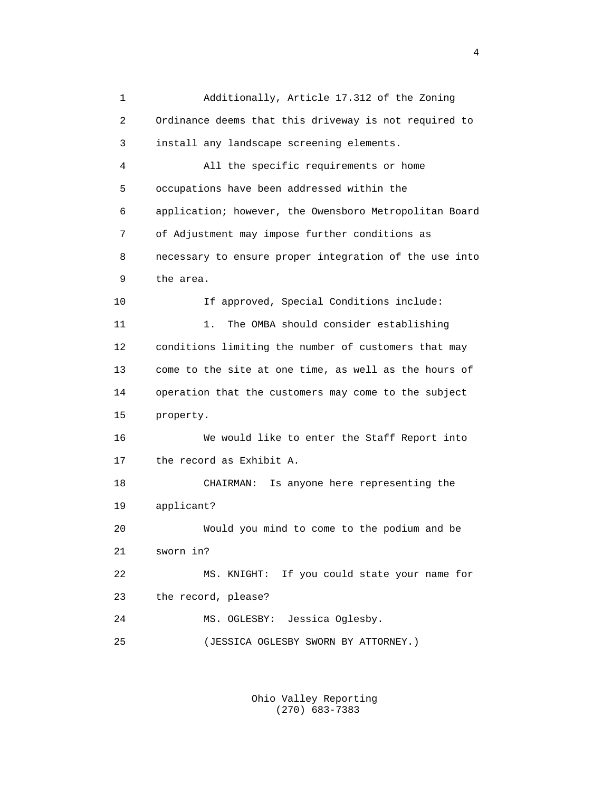1 Additionally, Article 17.312 of the Zoning 2 Ordinance deems that this driveway is not required to 3 install any landscape screening elements. 4 All the specific requirements or home 5 occupations have been addressed within the 6 application; however, the Owensboro Metropolitan Board 7 of Adjustment may impose further conditions as 8 necessary to ensure proper integration of the use into 9 the area. 10 If approved, Special Conditions include: 11 1. The OMBA should consider establishing 12 conditions limiting the number of customers that may 13 come to the site at one time, as well as the hours of 14 operation that the customers may come to the subject 15 property. 16 We would like to enter the Staff Report into 17 the record as Exhibit A. 18 CHAIRMAN: Is anyone here representing the 19 applicant? 20 Would you mind to come to the podium and be 21 sworn in? 22 MS. KNIGHT: If you could state your name for 23 the record, please? 24 MS. OGLESBY: Jessica Oglesby. 25 (JESSICA OGLESBY SWORN BY ATTORNEY.)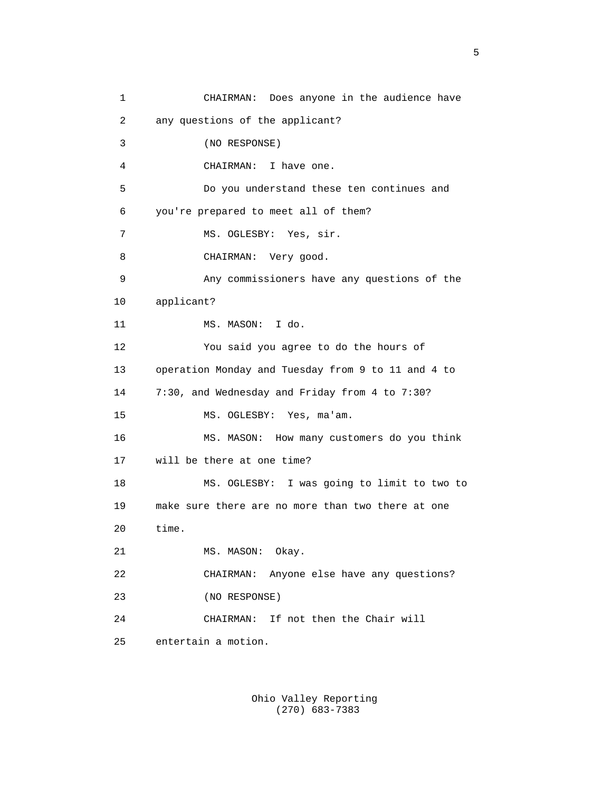1 CHAIRMAN: Does anyone in the audience have 2 any questions of the applicant? 3 (NO RESPONSE) 4 CHAIRMAN: I have one. 5 Do you understand these ten continues and 6 you're prepared to meet all of them? 7 MS. OGLESBY: Yes, sir. 8 CHAIRMAN: Very good. 9 Any commissioners have any questions of the 10 applicant? 11 MS. MASON: I do. 12 You said you agree to do the hours of 13 operation Monday and Tuesday from 9 to 11 and 4 to 14 7:30, and Wednesday and Friday from 4 to 7:30? 15 MS. OGLESBY: Yes, ma'am. 16 MS. MASON: How many customers do you think 17 will be there at one time? 18 MS. OGLESBY: I was going to limit to two to 19 make sure there are no more than two there at one 20 time. 21 MS. MASON: Okay. 22 CHAIRMAN: Anyone else have any questions? 23 (NO RESPONSE) 24 CHAIRMAN: If not then the Chair will 25 entertain a motion.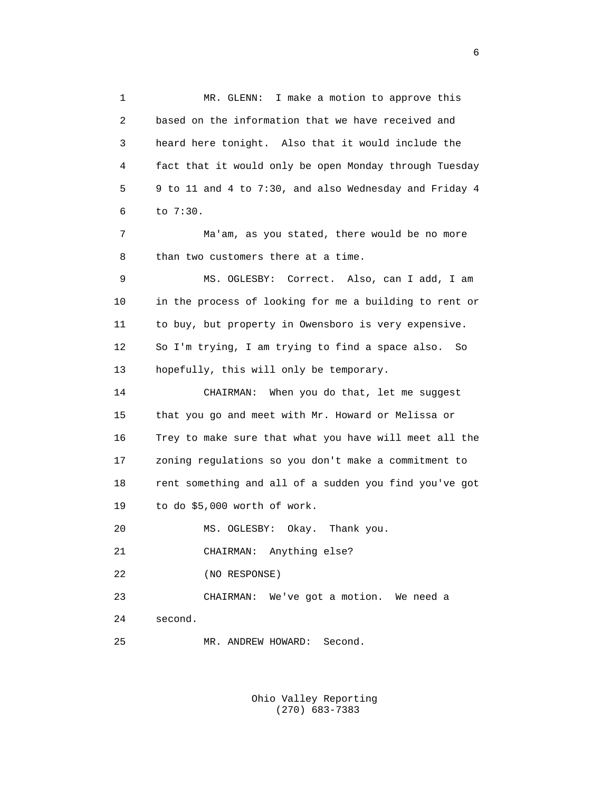1 MR. GLENN: I make a motion to approve this 2 based on the information that we have received and 3 heard here tonight. Also that it would include the 4 fact that it would only be open Monday through Tuesday 5 9 to 11 and 4 to 7:30, and also Wednesday and Friday 4 6 to 7:30. 7 Ma'am, as you stated, there would be no more 8 than two customers there at a time. 9 MS. OGLESBY: Correct. Also, can I add, I am 10 in the process of looking for me a building to rent or 11 to buy, but property in Owensboro is very expensive. 12 So I'm trying, I am trying to find a space also. So 13 hopefully, this will only be temporary. 14 CHAIRMAN: When you do that, let me suggest 15 that you go and meet with Mr. Howard or Melissa or 16 Trey to make sure that what you have will meet all the 17 zoning regulations so you don't make a commitment to 18 rent something and all of a sudden you find you've got 19 to do \$5,000 worth of work. 20 MS. OGLESBY: Okay. Thank you. 21 CHAIRMAN: Anything else? 22 (NO RESPONSE) 23 CHAIRMAN: We've got a motion. We need a 24 second. 25 MR. ANDREW HOWARD: Second.

> Ohio Valley Reporting (270) 683-7383

 $\sim$  6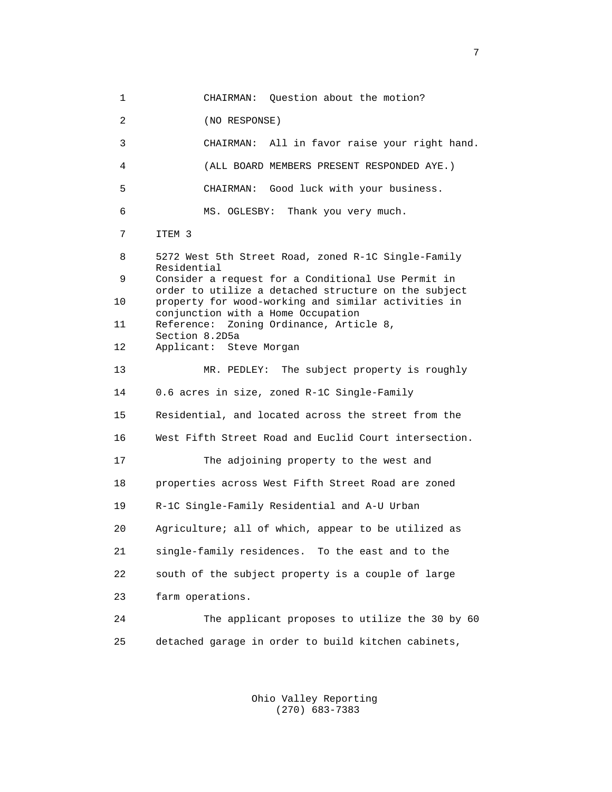1 CHAIRMAN: Question about the motion? 2 (NO RESPONSE) 3 CHAIRMAN: All in favor raise your right hand. 4 (ALL BOARD MEMBERS PRESENT RESPONDED AYE.) 5 CHAIRMAN: Good luck with your business. 6 MS. OGLESBY: Thank you very much. 7 ITEM 3 8 5272 West 5th Street Road, zoned R-1C Single-Family Residential<br>9 Consider a : Consider a request for a Conditional Use Permit in order to utilize a detached structure on the subject<br>10 property for wood-working and similar activities in property for wood-working and similar activities in conjunction with a Home Occupation<br>11 Reference: Zoning Ordinance, Artio Reference: Zoning Ordinance, Article 8, Section 8.2D5a<br>12 Applicant: Ste Applicant: Steve Morgan 13 MR. PEDLEY: The subject property is roughly 14 0.6 acres in size, zoned R-1C Single-Family 15 Residential, and located across the street from the 16 West Fifth Street Road and Euclid Court intersection. 17 The adjoining property to the west and 18 properties across West Fifth Street Road are zoned 19 R-1C Single-Family Residential and A-U Urban 20 Agriculture; all of which, appear to be utilized as 21 single-family residences. To the east and to the 22 south of the subject property is a couple of large 23 farm operations. 24 The applicant proposes to utilize the 30 by 60 25 detached garage in order to build kitchen cabinets,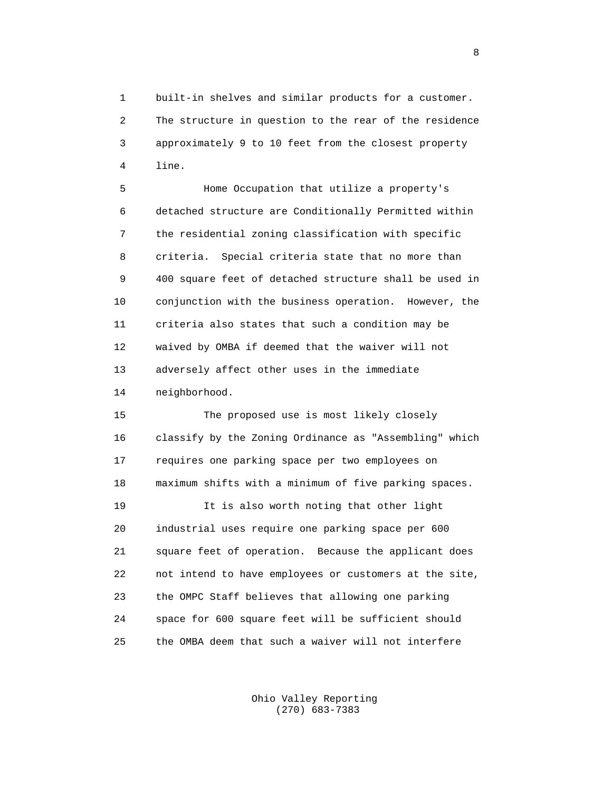1 built-in shelves and similar products for a customer. 2 The structure in question to the rear of the residence 3 approximately 9 to 10 feet from the closest property 4 line.

 5 Home Occupation that utilize a property's 6 detached structure are Conditionally Permitted within 7 the residential zoning classification with specific 8 criteria. Special criteria state that no more than 9 400 square feet of detached structure shall be used in 10 conjunction with the business operation. However, the 11 criteria also states that such a condition may be 12 waived by OMBA if deemed that the waiver will not 13 adversely affect other uses in the immediate 14 neighborhood.

 15 The proposed use is most likely closely 16 classify by the Zoning Ordinance as "Assembling" which 17 requires one parking space per two employees on 18 maximum shifts with a minimum of five parking spaces. 19 It is also worth noting that other light 20 industrial uses require one parking space per 600 21 square feet of operation. Because the applicant does 22 not intend to have employees or customers at the site, 23 the OMPC Staff believes that allowing one parking 24 space for 600 square feet will be sufficient should 25 the OMBA deem that such a waiver will not interfere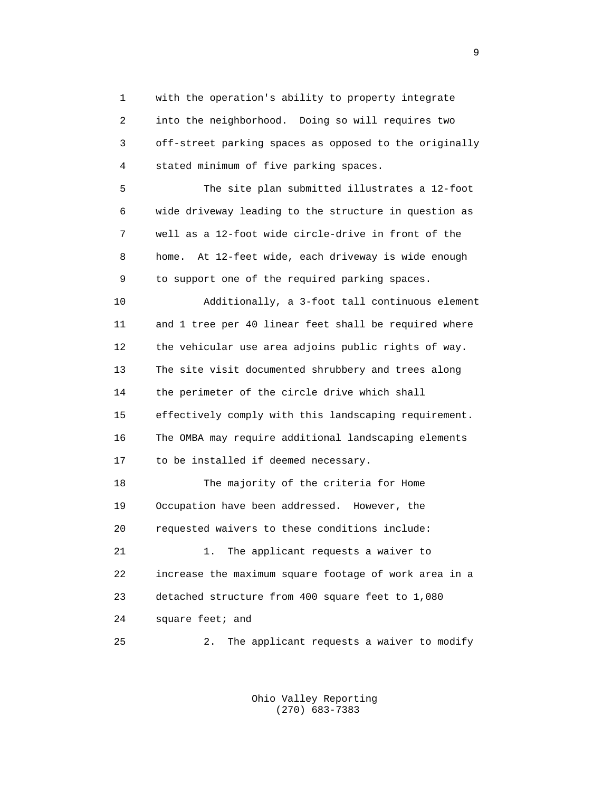1 with the operation's ability to property integrate 2 into the neighborhood. Doing so will requires two 3 off-street parking spaces as opposed to the originally 4 stated minimum of five parking spaces.

 5 The site plan submitted illustrates a 12-foot 6 wide driveway leading to the structure in question as 7 well as a 12-foot wide circle-drive in front of the 8 home. At 12-feet wide, each driveway is wide enough 9 to support one of the required parking spaces.

 10 Additionally, a 3-foot tall continuous element 11 and 1 tree per 40 linear feet shall be required where 12 the vehicular use area adjoins public rights of way. 13 The site visit documented shrubbery and trees along 14 the perimeter of the circle drive which shall 15 effectively comply with this landscaping requirement. 16 The OMBA may require additional landscaping elements 17 to be installed if deemed necessary.

 18 The majority of the criteria for Home 19 Occupation have been addressed. However, the 20 requested waivers to these conditions include: 21 1. The applicant requests a waiver to 22 increase the maximum square footage of work area in a 23 detached structure from 400 square feet to 1,080

24 square feet; and

25 2. The applicant requests a waiver to modify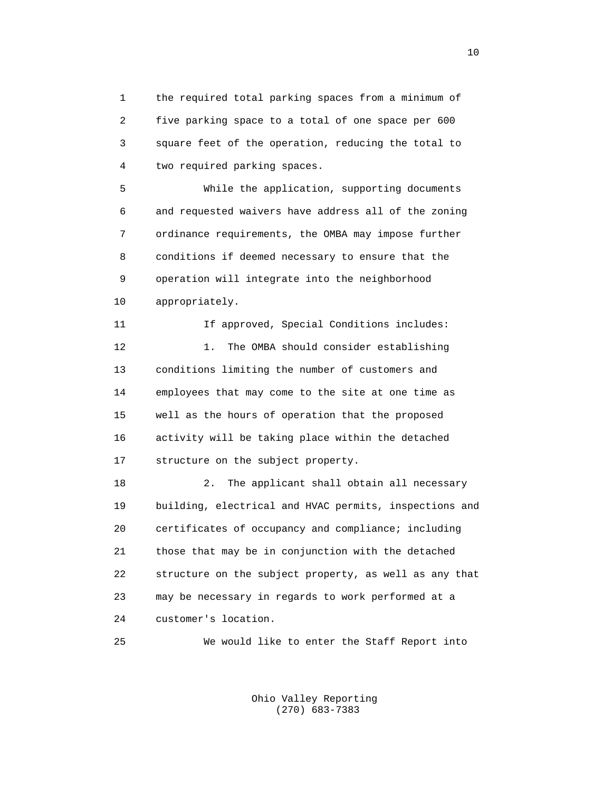1 the required total parking spaces from a minimum of 2 five parking space to a total of one space per 600 3 square feet of the operation, reducing the total to 4 two required parking spaces.

 5 While the application, supporting documents 6 and requested waivers have address all of the zoning 7 ordinance requirements, the OMBA may impose further 8 conditions if deemed necessary to ensure that the 9 operation will integrate into the neighborhood 10 appropriately.

11 11 If approved, Special Conditions includes: 12 1. The OMBA should consider establishing 13 conditions limiting the number of customers and 14 employees that may come to the site at one time as 15 well as the hours of operation that the proposed 16 activity will be taking place within the detached 17 structure on the subject property.

 18 2. The applicant shall obtain all necessary 19 building, electrical and HVAC permits, inspections and 20 certificates of occupancy and compliance; including 21 those that may be in conjunction with the detached 22 structure on the subject property, as well as any that 23 may be necessary in regards to work performed at a 24 customer's location.

25 We would like to enter the Staff Report into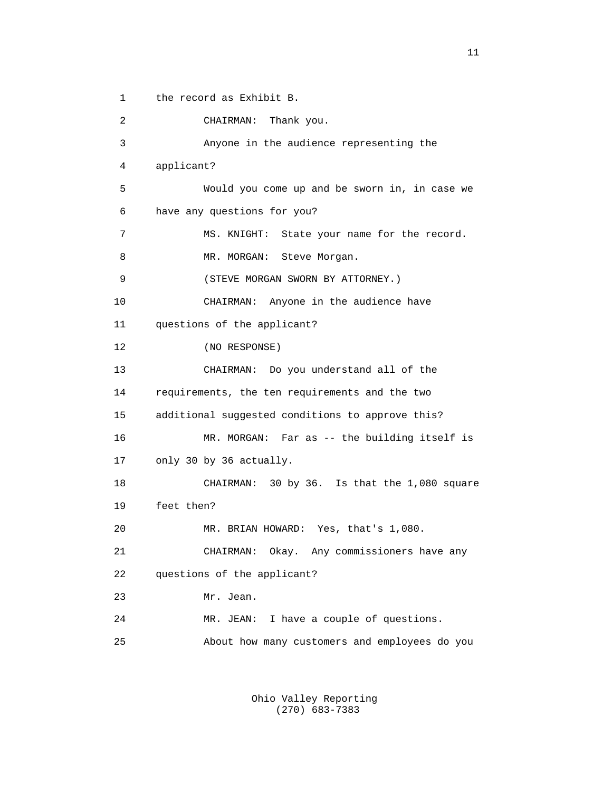1 the record as Exhibit B.

 2 CHAIRMAN: Thank you. 3 Anyone in the audience representing the 4 applicant? 5 Would you come up and be sworn in, in case we 6 have any questions for you? 7 MS. KNIGHT: State your name for the record. 8 MR. MORGAN: Steve Morgan. 9 (STEVE MORGAN SWORN BY ATTORNEY.) 10 CHAIRMAN: Anyone in the audience have 11 questions of the applicant? 12 (NO RESPONSE) 13 CHAIRMAN: Do you understand all of the 14 requirements, the ten requirements and the two 15 additional suggested conditions to approve this? 16 MR. MORGAN: Far as -- the building itself is 17 only 30 by 36 actually. 18 CHAIRMAN: 30 by 36. Is that the 1,080 square 19 feet then? 20 MR. BRIAN HOWARD: Yes, that's 1,080. 21 CHAIRMAN: Okay. Any commissioners have any 22 questions of the applicant? 23 Mr. Jean. 24 MR. JEAN: I have a couple of questions. 25 About how many customers and employees do you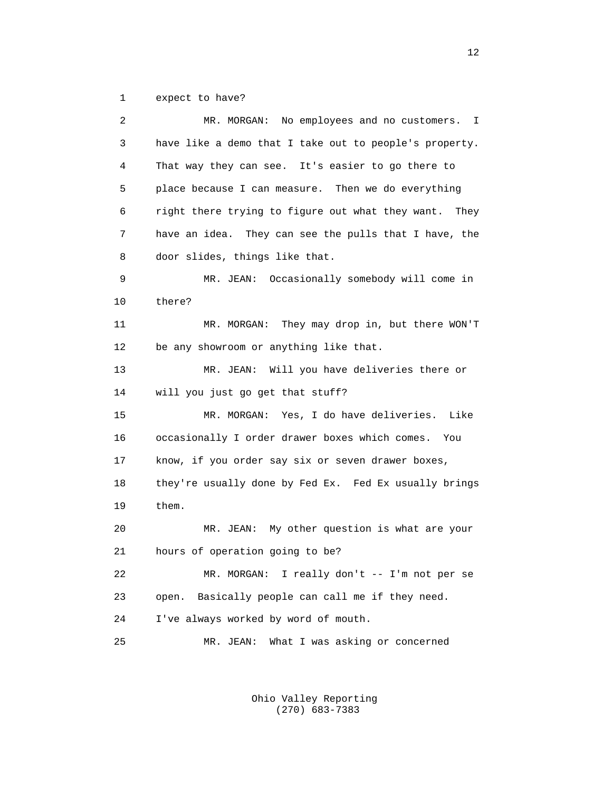1 expect to have?

| $\overline{a}$ | MR. MORGAN: No employees and no customers. I           |
|----------------|--------------------------------------------------------|
| 3              | have like a demo that I take out to people's property. |
| 4              | That way they can see. It's easier to go there to      |
| 5              | place because I can measure. Then we do everything     |
| 6              | right there trying to figure out what they want. They  |
| 7              | have an idea. They can see the pulls that I have, the  |
| 8              | door slides, things like that.                         |
| 9              | MR. JEAN: Occasionally somebody will come in           |
| 10             | there?                                                 |
| 11             | MR. MORGAN: They may drop in, but there WON'T          |
| 12             | be any showroom or anything like that.                 |
| 13             | MR. JEAN: Will you have deliveries there or            |
| 14             | will you just go get that stuff?                       |
| 15             | MR. MORGAN: Yes, I do have deliveries. Like            |
| 16             | occasionally I order drawer boxes which comes.<br>You  |
| 17             | know, if you order say six or seven drawer boxes,      |
| 18             | they're usually done by Fed Ex. Fed Ex usually brings  |
| 19             | them.                                                  |
| 20             | MR. JEAN: My other question is what are your           |
| 21             | hours of operation going to be?                        |
| 22             | MR. MORGAN:<br>I really don't -- I'm not per se        |
| 23             | Basically people can call me if they need.<br>open.    |
| 24             | I've always worked by word of mouth.                   |
| 25             | What I was asking or concerned<br>MR. JEAN:            |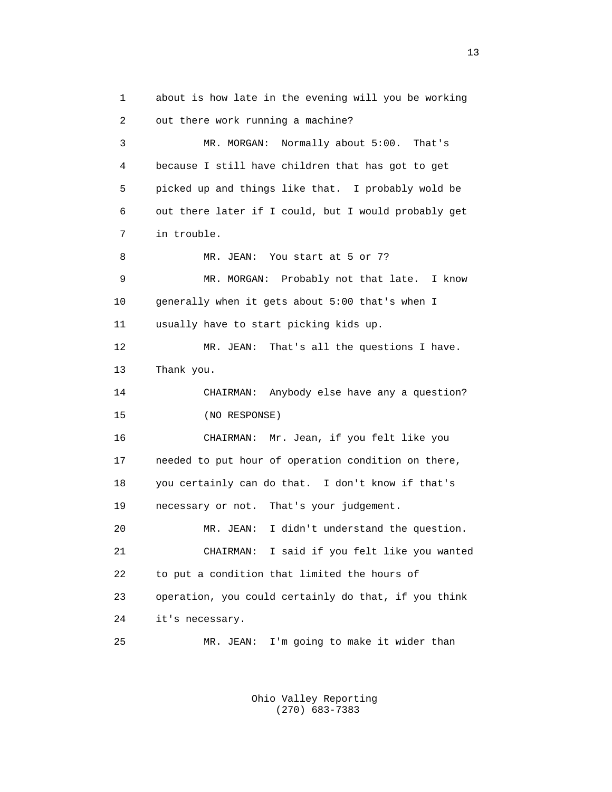1 about is how late in the evening will you be working 2 out there work running a machine? 3 MR. MORGAN: Normally about 5:00. That's 4 because I still have children that has got to get 5 picked up and things like that. I probably wold be 6 out there later if I could, but I would probably get 7 in trouble. 8 MR. JEAN: You start at 5 or 7? 9 MR. MORGAN: Probably not that late. I know 10 generally when it gets about 5:00 that's when I 11 usually have to start picking kids up. 12 MR. JEAN: That's all the questions I have. 13 Thank you. 14 CHAIRMAN: Anybody else have any a question? 15 (NO RESPONSE) 16 CHAIRMAN: Mr. Jean, if you felt like you 17 needed to put hour of operation condition on there, 18 you certainly can do that. I don't know if that's 19 necessary or not. That's your judgement. 20 MR. JEAN: I didn't understand the question. 21 CHAIRMAN: I said if you felt like you wanted 22 to put a condition that limited the hours of 23 operation, you could certainly do that, if you think 24 it's necessary. 25 MR. JEAN: I'm going to make it wider than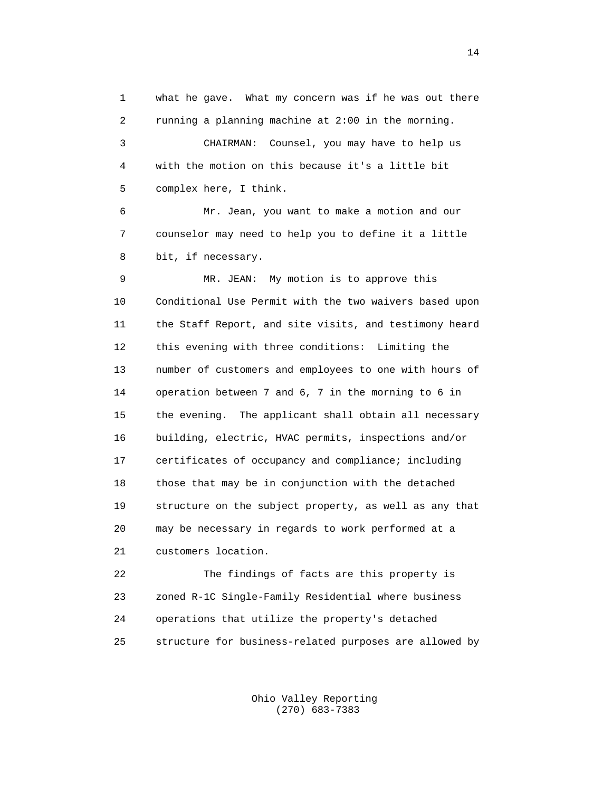1 what he gave. What my concern was if he was out there 2 running a planning machine at 2:00 in the morning. 3 CHAIRMAN: Counsel, you may have to help us

 4 with the motion on this because it's a little bit 5 complex here, I think.

 6 Mr. Jean, you want to make a motion and our 7 counselor may need to help you to define it a little 8 bit, if necessary.

 9 MR. JEAN: My motion is to approve this 10 Conditional Use Permit with the two waivers based upon 11 the Staff Report, and site visits, and testimony heard 12 this evening with three conditions: Limiting the 13 number of customers and employees to one with hours of 14 operation between 7 and 6, 7 in the morning to 6 in 15 the evening. The applicant shall obtain all necessary 16 building, electric, HVAC permits, inspections and/or 17 certificates of occupancy and compliance; including 18 those that may be in conjunction with the detached 19 structure on the subject property, as well as any that 20 may be necessary in regards to work performed at a 21 customers location.

 22 The findings of facts are this property is 23 zoned R-1C Single-Family Residential where business 24 operations that utilize the property's detached 25 structure for business-related purposes are allowed by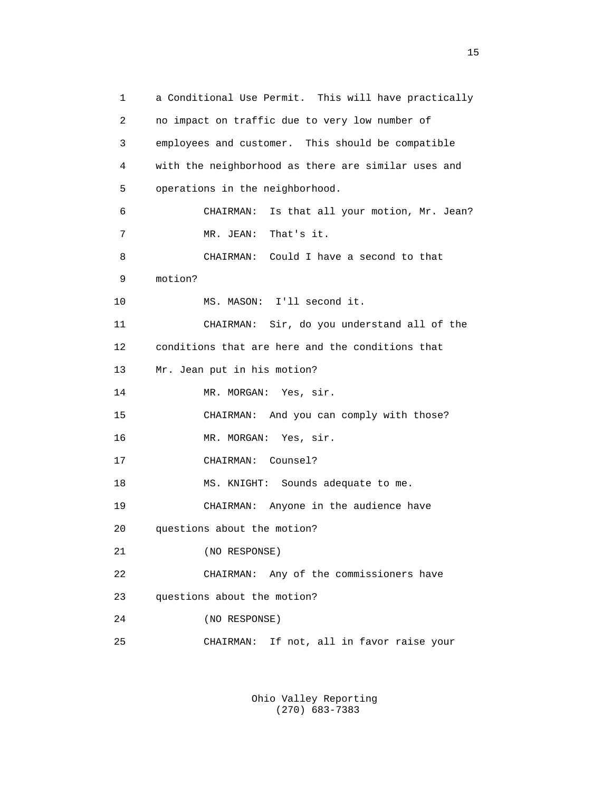1 a Conditional Use Permit. This will have practically 2 no impact on traffic due to very low number of 3 employees and customer. This should be compatible 4 with the neighborhood as there are similar uses and 5 operations in the neighborhood. 6 CHAIRMAN: Is that all your motion, Mr. Jean? 7 MR. JEAN: That's it. 8 CHAIRMAN: Could I have a second to that 9 motion? 10 MS. MASON: I'll second it. 11 CHAIRMAN: Sir, do you understand all of the 12 conditions that are here and the conditions that 13 Mr. Jean put in his motion? 14 MR. MORGAN: Yes, sir. 15 CHAIRMAN: And you can comply with those? 16 MR. MORGAN: Yes, sir. 17 CHAIRMAN: Counsel? 18 MS. KNIGHT: Sounds adequate to me. 19 CHAIRMAN: Anyone in the audience have 20 questions about the motion? 21 (NO RESPONSE) 22 CHAIRMAN: Any of the commissioners have 23 questions about the motion? 24 (NO RESPONSE) 25 CHAIRMAN: If not, all in favor raise your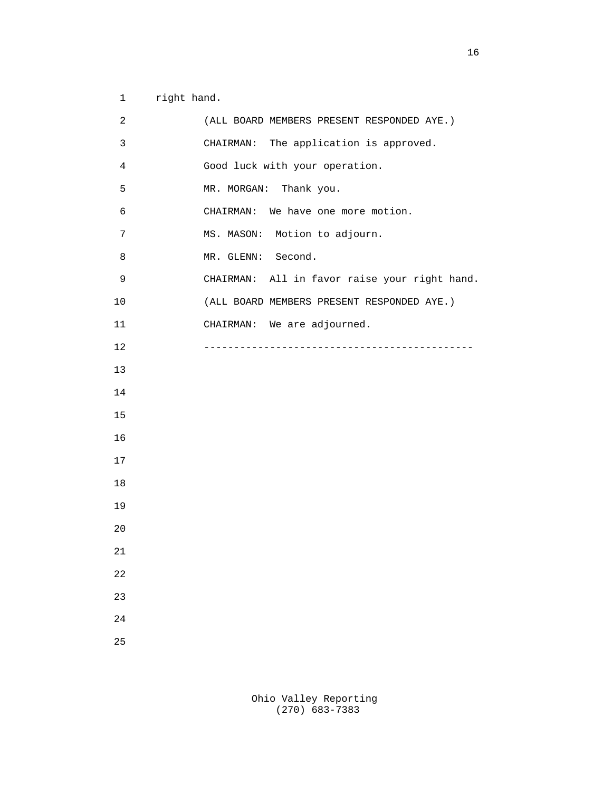|  | right hand. |
|--|-------------|
|  |             |

| $\overline{c}$ | (ALL BOARD MEMBERS PRESENT RESPONDED AYE.)    |
|----------------|-----------------------------------------------|
| 3              | CHAIRMAN: The application is approved.        |
| 4              | Good luck with your operation.                |
| 5              | MR. MORGAN: Thank you.                        |
| 6              | CHAIRMAN: We have one more motion.            |
| 7              | MS. MASON: Motion to adjourn.                 |
| 8              | MR. GLENN: Second.                            |
| 9              | CHAIRMAN: All in favor raise your right hand. |
| $10$           | (ALL BOARD MEMBERS PRESENT RESPONDED AYE.)    |
| 11             | CHAIRMAN: We are adjourned.                   |
| 12             | <u>___________________</u>                    |
| 13             |                                               |
| 14             |                                               |
| 15             |                                               |
| 16             |                                               |
| 17             |                                               |
| 18             |                                               |
| 19             |                                               |
| 20             |                                               |
| 21             |                                               |
| 22             |                                               |
| 23             |                                               |
| 24             |                                               |
| 25             |                                               |
|                |                                               |